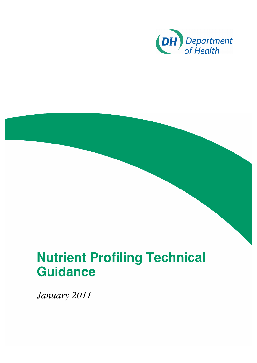

1

# **Nutrient Profiling Technical Guidance**

*January 2011*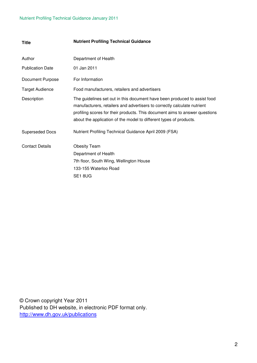| <b>Title</b>            | <b>Nutrient Profiling Technical Guidance</b>                                                                                                                                                                                                                                                               |
|-------------------------|------------------------------------------------------------------------------------------------------------------------------------------------------------------------------------------------------------------------------------------------------------------------------------------------------------|
| Author                  | Department of Health                                                                                                                                                                                                                                                                                       |
| <b>Publication Date</b> | 01 Jan 2011                                                                                                                                                                                                                                                                                                |
| Document Purpose        | For Information                                                                                                                                                                                                                                                                                            |
| <b>Target Audience</b>  | Food manufacturers, retailers and advertisers                                                                                                                                                                                                                                                              |
| Description             | The guidelines set out in this document have been produced to assist food<br>manufacturers, retailers and advertisers to correctly calculate nutrient<br>profiling scores for their products. This document aims to answer questions<br>about the application of the model to different types of products. |
| <b>Superseded Docs</b>  | Nutrient Profiling Technical Guidance April 2009 (FSA)                                                                                                                                                                                                                                                     |
| <b>Contact Details</b>  | <b>Obesity Team</b>                                                                                                                                                                                                                                                                                        |
|                         | Department of Health                                                                                                                                                                                                                                                                                       |
|                         | 7th floor, South Wing, Wellington House                                                                                                                                                                                                                                                                    |
|                         | 133-155 Waterloo Road                                                                                                                                                                                                                                                                                      |
|                         | SE <sub>1</sub> 8UG                                                                                                                                                                                                                                                                                        |

© Crown copyright Year 2011 Published to DH website, in electronic PDF format only. http://www.dh.gov.uk/publications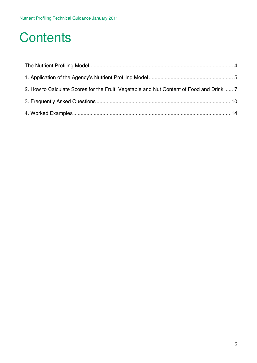## **Contents**

| 2. How to Calculate Scores for the Fruit, Vegetable and Nut Content of Food and Drink  7 |  |
|------------------------------------------------------------------------------------------|--|
|                                                                                          |  |
|                                                                                          |  |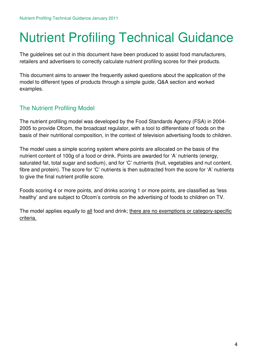# Nutrient Profiling Technical Guidance

The guidelines set out in this document have been produced to assist food manufacturers, retailers and advertisers to correctly calculate nutrient profiling scores for their products.

This document aims to answer the frequently asked questions about the application of the model to different types of products through a simple guide, Q&A section and worked examples.

## The Nutrient Profiling Model

The nutrient profiling model was developed by the Food Standards Agency (FSA) in 2004- 2005 to provide Ofcom, the broadcast regulator, with a tool to differentiate of foods on the basis of their nutritional composition, in the context of television advertising foods to children.

The model uses a simple scoring system where points are allocated on the basis of the nutrient content of 100g of a food or drink. Points are awarded for 'A' nutrients (energy, saturated fat, total sugar and sodium), and for 'C' nutrients (fruit, vegetables and nut content, fibre and protein). The score for 'C' nutrients is then subtracted from the score for 'A' nutrients to give the final nutrient profile score.

Foods scoring 4 or more points, and drinks scoring 1 or more points, are classified as 'less healthy' and are subject to Ofcom's controls on the advertising of foods to children on TV.

The model applies equally to all food and drink; there are no exemptions or category-specific criteria.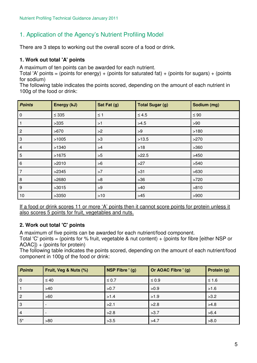## 1. Application of the Agency's Nutrient Profiling Model

There are 3 steps to working out the overall score of a food or drink.

#### **1. Work out total 'A' points**

A maximum of ten points can be awarded for each nutrient.

Total 'A' points = (points for energy) + (points for saturated fat) + (points for sugars) + (points for sodium)

The following table indicates the points scored, depending on the amount of each nutrient in 100g of the food or drink:

| <b>Points</b>  | Energy (kJ) | Sat Fat (g) | <b>Total Sugar (g)</b> | Sodium (mg) |
|----------------|-------------|-------------|------------------------|-------------|
| $\mathbf 0$    | $\leq$ 335  | $\leq$ 1    | $\leq 4.5$             | $\leq 90$   |
|                | >335        | >1          | >4.5                   | >90         |
| $\overline{2}$ | >670        | >2          | >9                     | >180        |
| 3              | >1005       | >3          | >13.5                  | >270        |
| $\overline{4}$ | >1340       | >4          | $>18$                  | >360        |
| 5              | >1675       | >5          | >22.5                  | >450        |
| 6              | >2010       | >6          | >27                    | >540        |
| 7              | >2345       | >7          | $>31$                  | >630        |
| 8              | >2680       | >8          | $>36$                  | >720        |
| 9              | >3015       | >9          | $>40$                  | >810        |
| 10             | >3350       | $>10$       | $>45$                  | >900        |

If a food or drink scores 11 or more 'A' points then it cannot score points for protein unless it also scores 5 points for fruit, vegetables and nuts.

#### **2. Work out total 'C' points**

A maximum of five points can be awarded for each nutrient/food component.

Total 'C' points = (points for % fruit, vegetable & nut content) + (points for fibre [either NSP or AOAC]) + (points for protein)

The following table indicates the points scored, depending on the amount of each nutrient/food component in 100g of the food or drink:

| <b>Points</b>  | Fruit, Veg & Nuts (%)    | NSP Fibre ' (g) | Or AOAC Fibre ' (g) | Protein (g) |
|----------------|--------------------------|-----------------|---------------------|-------------|
| $\Omega$       | $\leq 40$                | $\leq 0.7$      | $\leq 0.9$          | $≤ 1.6$     |
|                | $>40$                    | >0.7            | >0.9                | >1.6        |
| 2              | >60                      | >1.4            | >1.9                | >3.2        |
| 3              | $\overline{\phantom{a}}$ | >2.1            | >2.8                | >4.8        |
| $\overline{4}$ | $\overline{\phantom{0}}$ | >2.8            | >3.7                | >6.4        |
| $5^*$          | >80                      | >3.5            | >4.7                | >8.0        |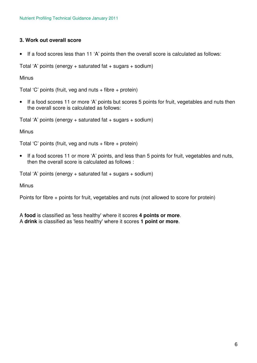#### **3. Work out overall score**

• If a food scores less than 11 'A' points then the overall score is calculated as follows:

Total 'A' points (energy  $+$  saturated fat  $+$  sugars  $+$  sodium)

**Minus** 

Total 'C' points (fruit, veg and nuts  $+$  fibre  $+$  protein)

• If a food scores 11 or more 'A' points but scores 5 points for fruit, vegetables and nuts then the overall score is calculated as follows:

Total 'A' points (energy  $+$  saturated fat  $+$  sugars  $+$  sodium)

Minus

Total 'C' points (fruit, veg and nuts  $+$  fibre  $+$  protein)

• If a food scores 11 or more 'A' points, and less than 5 points for fruit, vegetables and nuts, then the overall score is calculated as follows :

Total 'A' points (energy + saturated fat + sugars + sodium)

**Minus** 

Points for fibre + points for fruit, vegetables and nuts (not allowed to score for protein)

A **food** is classified as 'less healthy' where it scores **4 points or more**. A **drink** is classified as 'less healthy' where it scores **1 point or more**.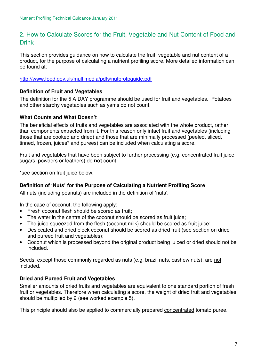### 2. How to Calculate Scores for the Fruit, Vegetable and Nut Content of Food and **Drink**

This section provides guidance on how to calculate the fruit, vegetable and nut content of a product, for the purpose of calculating a nutrient profiling score. More detailed information can be found at:

http://www.food.gov.uk/multimedia/pdfs/nutprofpguide.pdf

#### **Definition of Fruit and Vegetables**

The definition for the 5 A DAY programme should be used for fruit and vegetables. Potatoes and other starchy vegetables such as yams do not count.

#### **What Counts and What Doesn't**

The beneficial effects of fruits and vegetables are associated with the whole product, rather than components extracted from it. For this reason only intact fruit and vegetables (including those that are cooked and dried) and those that are minimally processed (peeled, sliced, tinned, frozen, juices\* and purees) can be included when calculating a score.

Fruit and vegetables that have been subject to further processing (e.g. concentrated fruit juice sugars, powders or leathers) do **not** count.

\*see section on fruit juice below.

#### **Definition of 'Nuts' for the Purpose of Calculating a Nutrient Profiling Score**

All nuts (including peanuts) are included in the definition of 'nuts'.

In the case of coconut, the following apply:

- Fresh coconut flesh should be scored as fruit:
- The water in the centre of the coconut should be scored as fruit juice;
- The juice squeezed from the flesh (coconut milk) should be scored as fruit juice;
- Desiccated and dried block coconut should be scored as dried fruit (see section on dried and pureed fruit and vegetables);
- Coconut which is processed beyond the original product being juiced or dried should not be included.

Seeds, except those commonly regarded as nuts (e.g. brazil nuts, cashew nuts), are not included.

#### **Dried and Pureed Fruit and Vegetables**

Smaller amounts of dried fruits and vegetables are equivalent to one standard portion of fresh fruit or vegetables. Therefore when calculating a score, the weight of dried fruit and vegetables should be multiplied by 2 (see worked example 5).

This principle should also be applied to commercially prepared concentrated tomato puree.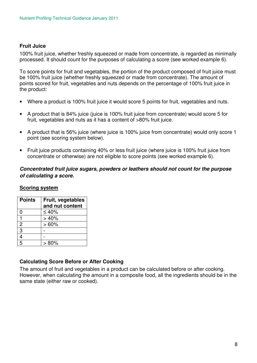#### **Fruit Juice**

100% fruit juice, whether freshly squeezed or made from concentrate, is regarded as minimally processed. It should count for the purposes of calculating a score (see worked example 6).

To score points for fruit and vegetables, the portion of the product composed of fruit juice must be 100% fruit juice (whether freshly squeezed or made from concentrate). The amount of points scored for fruit, vegetables and nuts depends on the percentage of 100% fruit juice in the product:

- Where a product is 100% fruit juice it would score 5 points for fruit, vegetables and nuts.
- A product that is 84% juice (juice is 100% fruit juice from concentrate) would score 5 for fruit, vegetables and nuts as it has a content of >80% fruit juice.
- A product that is 56% juice (where juice is 100% juice from concentrate) would only score 1 point (see scoring system below).
- Fruit juice products containing 40% or less fruit juice (where juice is 100% fruit juice from concentrate or otherwise) are not eligible to score points (see worked example 6).

#### *Concentrated fruit juice sugars, powders or leathers should not count for the purpose of calculating a score.*

#### **Scoring system**

| <b>Points</b> | Fruit, vegetables |  |  |
|---------------|-------------------|--|--|
|               | and nut content   |  |  |
| 0             | ≤40%              |  |  |
|               | >40%              |  |  |
| 2             | >60%              |  |  |
| 3             |                   |  |  |
|               |                   |  |  |
| 5             | $>80\%$           |  |  |

#### **Calculating Score Before or After Cooking**

The amount of fruit and vegetables in a product can be calculated before or after cooking. However, when calculating the amount in a composite food, all the ingredients should be in the same state (either raw or cooked).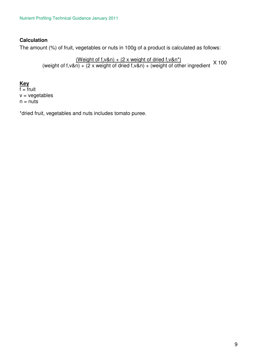#### **Calculation**

The amount (%) of fruit, vegetables or nuts in 100g of a product is calculated as follows:

(Weight of f, v&n) +  $(2 \times \text{weight of } \text{dried } f, v\&n^*)$ (weight of f,v&n) +  $(2 \times \text{weight of dried f}, v\&n) + (\text{weight of other ingredient} \times 100)$ 

#### **Key**

 $f = f$ ruit  $v = v$ egetables  $n = nuts$ 

\*dried fruit, vegetables and nuts includes tomato puree.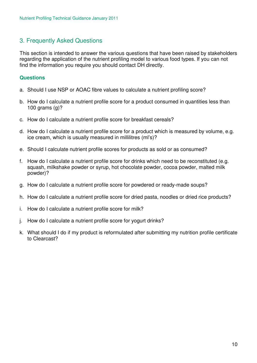### 3. Frequently Asked Questions

This section is intended to answer the various questions that have been raised by stakeholders regarding the application of the nutrient profiling model to various food types. If you can not find the information you require you should contact DH directly.

#### **Questions**

- a. Should I use NSP or AOAC fibre values to calculate a nutrient profiling score?
- b. How do I calculate a nutrient profile score for a product consumed in quantities less than 100 grams (g)?
- c. How do I calculate a nutrient profile score for breakfast cereals?
- d. How do I calculate a nutrient profile score for a product which is measured by volume, e.g. ice cream, which is usually measured in millilitres (ml's)?
- e. Should I calculate nutrient profile scores for products as sold or as consumed?
- f. How do I calculate a nutrient profile score for drinks which need to be reconstituted (e.g. squash, milkshake powder or syrup, hot chocolate powder, cocoa powder, malted milk powder)?
- g. How do I calculate a nutrient profile score for powdered or ready-made soups?
- h. How do I calculate a nutrient profile score for dried pasta, noodles or dried rice products?
- i. How do I calculate a nutrient profile score for milk?
- j. How do I calculate a nutrient profile score for yogurt drinks?
- k. What should I do if my product is reformulated after submitting my nutrition profile certificate to Clearcast?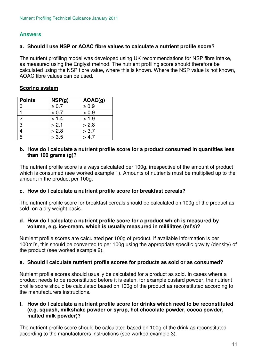#### **Answers**

#### **a. Should I use NSP or AOAC fibre values to calculate a nutrient profile score?**

The nutrient profiling model was developed using UK recommendations for NSP fibre intake, as measured using the Englyst method. The nutrient profiling score should therefore be calculated using the NSP fibre value, where this is known. Where the NSP value is not known, AOAC fibre values can be used.

#### **Scoring system**

| <b>Points</b>  | NSP(g)     | AOAC(g)    |
|----------------|------------|------------|
|                | $\leq 0.7$ | $\leq 0.9$ |
|                | > 0.7      | > 0.9      |
| $\overline{2}$ | > 1.4      | > 1.9      |
| 3              | > 2.1      | > 2.8      |
| 4              | > 2.8      | > 3.7      |
| 5              | > 3.5      | > 4.7      |

#### **b. How do I calculate a nutrient profile score for a product consumed in quantities less than 100 grams (g)?**

The nutrient profile score is always calculated per 100g, irrespective of the amount of product which is consumed (see worked example 1). Amounts of nutrients must be multiplied up to the amount in the product per 100g.

#### **c. How do I calculate a nutrient profile score for breakfast cereals?**

The nutrient profile score for breakfast cereals should be calculated on 100g of the product as sold, on a dry weight basis.

#### **d. How do I calculate a nutrient profile score for a product which is measured by volume, e.g. ice-cream, which is usually measured in millilitres (ml's)?**

Nutrient profile scores are calculated per 100g of product. If available information is per 100ml's, this should be converted to per 100g using the appropriate specific gravity (density) of the product (see worked example 2).

#### **e. Should I calculate nutrient profile scores for products as sold or as consumed?**

Nutrient profile scores should usually be calculated for a product as sold. In cases where a product needs to be reconstituted before it is eaten, for example custard powder, the nutrient profile score should be calculated based on 100g of the product as reconstituted according to the manufacturers instructions.

#### **f. How do I calculate a nutrient profile score for drinks which need to be reconstituted (e.g. squash, milkshake powder or syrup, hot chocolate powder, cocoa powder, malted milk powder)?**

The nutrient profile score should be calculated based on 100g of the drink as reconstituted according to the manufacturers instructions (see worked example 3).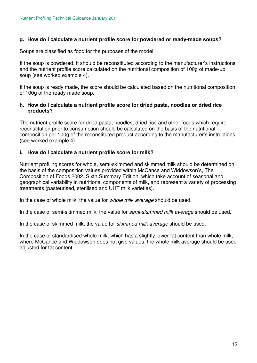#### **g. How do I calculate a nutrient profile score for powdered or ready-made soups?**

Soups are classified as food for the purposes of the model.

If the soup is powdered, it should be reconstituted according to the manufacturer's instructions and the nutrient profile score calculated on the nutritional composition of 100g of made-up soup (see worked example 4).

If the soup is ready made, the score should be calculated based on the nutritional composition of 100g of the ready made soup.

#### **h. How do I calculate a nutrient profile score for dried pasta, noodles or dried rice products?**

The nutrient profile score for dried pasta, noodles, dried rice and other foods which require reconstitution prior to consumption should be calculated on the basis of the nutritional composition per 100g of the reconstituted product according to the manufacturer's instructions (see worked example 4).

#### **i. How do I calculate a nutrient profile score for milk?**

Nutrient profiling scores for whole, semi-skimmed and skimmed milk should be determined on the basis of the composition values provided within McCance and Widdowson's, The Composition of Foods 2002, Sixth Summary Edition, which take account of seasonal and geographical variability in nutritional components of milk, and represent a variety of processing treatments (pasteurised, sterilised and UHT milk varieties).

In the case of whole milk, the value for *whole milk average* should be used.

In the case of semi-skimmed milk, the value for *semi-skimmed milk average* should be used.

In the case of skimmed milk, the value for *skimmed milk average* should be used.

In the case of standardised whole milk, which has a slightly lower fat content than whole milk, where McCance and Widdowson does not give values, the whole milk average should be used adjusted for fat content.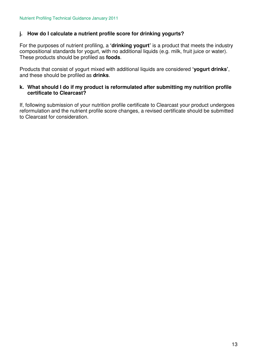#### **j. How do I calculate a nutrient profile score for drinking yogurts?**

For the purposes of nutrient profiling, a **'drinking yogurt'** is a product that meets the industry compositional standards for yogurt, with no additional liquids (e.g. milk, fruit juice or water). These products should be profiled as **foods**.

Products that consist of yogurt mixed with additional liquids are considered **'yogurt drinks'**, and these should be profiled as **drinks**.

#### **k. What should I do if my product is reformulated after submitting my nutrition profile certificate to Clearcast?**

If, following submission of your nutrition profile certificate to Clearcast your product undergoes reformulation and the nutrient profile score changes, a revised certificate should be submitted to Clearcast for consideration.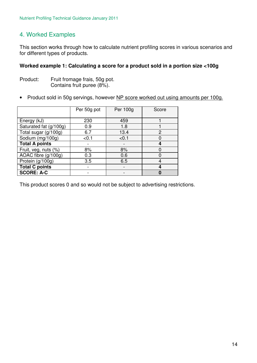### 4. Worked Examples

This section works through how to calculate nutrient profiling scores in various scenarios and for different types of products.

#### **Worked example 1: Calculating a score for a product sold in a portion size <100g**

- Product: Fruit fromage frais, 50g pot. Contains fruit puree (8%).
- Product sold in 50g servings, however NP score worked out using amounts per 100g.

|                        | Per 50g pot | Per 100g | Score |
|------------------------|-------------|----------|-------|
|                        |             |          |       |
| Energy (kJ)            | 230         | 459      |       |
| Saturated fat (g/100g) | 0.9         | 1.8      |       |
| Total sugar (g/100g)   | 6.7         | 13.4     | 2     |
| Sodium (mg/100g)       | < 0.1       | < 0.1    |       |
| <b>Total A points</b>  |             |          | 4     |
| Fruit, veg, nuts (%)   | 8%          | 8%       |       |
| AOAC fibre (g/100g)    | 0.3         | 0.6      |       |
| Protein (g/100g)       | 3.5         | 6.5      | 4     |
| <b>Total C points</b>  |             |          | 4     |
| <b>SCORE: A-C</b>      |             |          | 0     |

This product scores 0 and so would not be subject to advertising restrictions.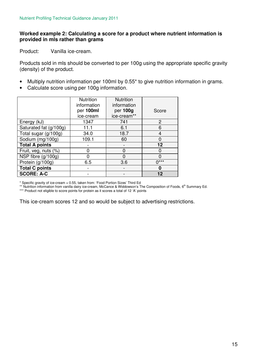#### **Worked example 2: Calculating a score for a product where nutrient information is provided in mls rather than grams**

Product: Vanilla ice-cream.

Products sold in mls should be converted to per 100g using the appropriate specific gravity (density) of the product.

- Multiply nutrition information per 100ml by 0.55\* to give nutrition information in grams.
- Calculate score using per 100g information.

|                        | <b>Nutrition</b><br>information | <b>Nutrition</b><br>information |        |
|------------------------|---------------------------------|---------------------------------|--------|
|                        | per 100ml<br>ice-cream          | per 100g<br>ice-cream**         | Score  |
| Energy (kJ)            | 1347                            | 741                             | 2      |
| Saturated fat (g/100g) | 11.1                            | 6.1                             | 6      |
| Total sugar (g/100g)   | 34.0                            | 18.7                            | 4      |
| Sodium (mg/100g)       | 109.1                           | 60                              | 0      |
| <b>Total A points</b>  |                                 |                                 | 12     |
| Fruit, veg, nuts (%)   |                                 | $\Omega$                        | 0      |
| NSP fibre (g/100g)     |                                 | U                               | 0      |
| Protein (g/100g)       | 6.5                             | 3.6                             | $0***$ |
| <b>Total C points</b>  |                                 |                                 | 0      |
| <b>SCORE: A-C</b>      |                                 |                                 | 12     |

\* Specific gravity of ice-cream = 0.55, taken from: 'Food Portion Sizes' Third Ed

\*\* Nutrition information from vanilla dairy ice-cream, McCance & Widdowson's The Composition of Foods, 6<sup>th</sup> Summary Ed.

\*\*\* Product not eligible to score points for protein as it scores a total of 12 'A' points

This ice-cream scores 12 and so would be subject to advertising restrictions.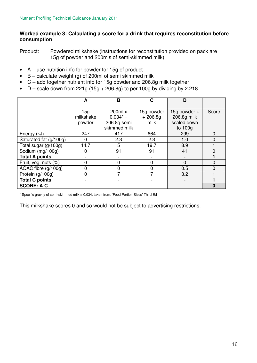#### **Worked example 3: Calculating a score for a drink that requires reconstitution before consumption**

Product: Powdered milkshake (instructions for reconstitution provided on pack are 15g of powder and 200mls of semi-skimmed milk).

- A use nutrition info for powder for 15g of product
- B calculate weight (g) of 200ml of semi skimmed milk
- C add together nutrient info for 15g powder and 206.8g milk together
- D scale down from 221g (15g + 206.8g) to per 100g by dividing by 2.218

|                        | A           | B              | С          | D            |          |
|------------------------|-------------|----------------|------------|--------------|----------|
|                        |             |                |            |              |          |
|                        | 15g         | $200ml \times$ | 15g powder | 15g powder + | Score    |
|                        | milkshake   | $0.034^* =$    | $+206.8g$  | 206.8g milk  |          |
|                        | powder      | 206.8g semi    | milk       | scaled down  |          |
|                        |             | skimmed milk   |            | to 100g      |          |
| Energy (kJ)            | 247         | 417            | 664        | 299          | $\Omega$ |
| Saturated fat (g/100g) | 0           | 2.3            | 2.3        | 1.0          | 0        |
| Total sugar (g/100g)   | 14.7        | 5              | 19.7       | 8.9          |          |
| Sodium (mg/100g)       | 0           | 91             | 91         | 41           | 0        |
| <b>Total A points</b>  |             |                |            |              |          |
| Fruit, veg, nuts (%)   | 0           | 0              | 0          | 0            | 0        |
| AOAC fibre (g/100g)    | 0           | $\overline{0}$ | 0          | 0.5          | 0        |
| Protein (g/100g)       | $\mathbf 0$ | 7              | 7          | 3.2          |          |
| <b>Total C points</b>  |             |                |            |              |          |
| <b>SCORE: A-C</b>      |             |                |            |              | 0        |

\* Specific gravity of semi-skimmed milk = 0.034, taken from: 'Food Portion Sizes' Third Ed

This milkshake scores 0 and so would not be subject to advertising restrictions.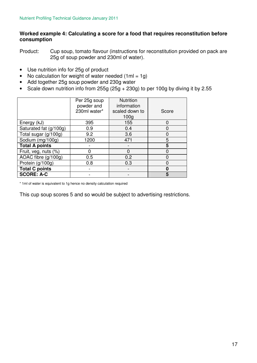#### **Worked example 4: Calculating a score for a food that requires reconstitution before consumption**

Product: Cup soup, tomato flavour (instructions for reconstitution provided on pack are 25g of soup powder and 230ml of water).

- Use nutrition info for 25g of product
- No calculation for weight of water needed  $(1ml = 1q)$
- Add together 25g soup powder and 230g water
- Scale down nutrition info from 255g (25g + 230g) to per 100g by diving it by 2.55

|                        | Per 25g soup | <b>Nutrition</b> |       |
|------------------------|--------------|------------------|-------|
|                        | powder and   | information      |       |
|                        | 230ml water* | scaled down to   | Score |
|                        |              | 100 <sub>g</sub> |       |
| Energy (kJ)            | 395          | 155              |       |
| Saturated fat (g/100g) | 0.9          | 0.4              |       |
| Total sugar (g/100g)   | 9.2          | 3.6              | ი     |
| Sodium (mg/100g)       | 1200         | 471              | 5     |
| <b>Total A points</b>  |              |                  | 5     |
| Fruit, veg, nuts (%)   |              |                  | n     |
| AOAC fibre (g/100g)    | 0.5          | 0.2              |       |
| Protein (g/100g)       | 0.8          | 0.3              |       |
| <b>Total C points</b>  |              |                  |       |
| <b>SCORE: A-C</b>      |              |                  | 5     |

\* 1ml of water is equivalent to 1g hence no density calculation required

This cup soup scores 5 and so would be subject to advertising restrictions.